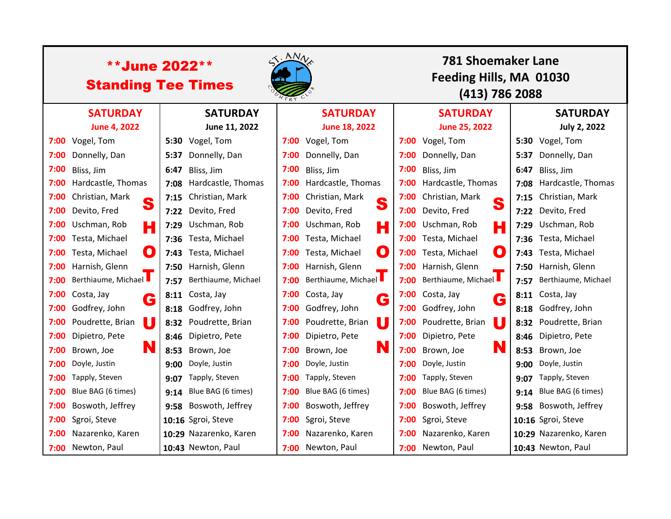| <b>**June 2022**</b><br><b>Standing Tee Times</b> |                       |      |                         | $\langle A N_A \rangle$ |                             |      | <b>781 Shoemaker Lane</b><br>Feeding Hills, MA 01030<br>(413) 786 2088 |      |                          |  |
|---------------------------------------------------|-----------------------|------|-------------------------|-------------------------|-----------------------------|------|------------------------------------------------------------------------|------|--------------------------|--|
|                                                   | <b>SATURDAY</b>       |      | <b>SATURDAY</b>         |                         | <b>SATURDAY</b>             |      | <b>SATURDAY</b>                                                        |      | <b>SATURDAY</b>          |  |
|                                                   | <b>June 4, 2022</b>   |      | June 11, 2022           |                         | June 18, 2022               |      | <b>June 25, 2022</b>                                                   |      | <b>July 2, 2022</b>      |  |
| 7:00                                              | Vogel, Tom            |      | 5:30 Vogel, Tom         |                         | 7:00 Vogel, Tom             | 7:00 | Vogel, Tom                                                             |      | 5:30 Vogel, Tom          |  |
| 7:00                                              | Donnelly, Dan         | 5:37 | Donnelly, Dan           | 7:00                    | Donnelly, Dan               | 7:00 | Donnelly, Dan                                                          |      | 5:37 Donnelly, Dan       |  |
| 7:00                                              | Bliss, Jim            | 6:47 | Bliss, Jim              | 7:00                    | Bliss, Jim                  | 7:00 | Bliss, Jim                                                             | 6:47 | Bliss, Jim               |  |
| 7:00                                              | Hardcastle, Thomas    |      | 7:08 Hardcastle, Thomas | 7:00                    | Hardcastle, Thomas          | 7:00 | Hardcastle, Thomas                                                     |      | 7:08 Hardcastle, Thomas  |  |
| 7:00                                              | Christian, Mark<br>S  | 7:15 | Christian, Mark         | 7:00                    | Christian, Mark<br>S        | 7:00 | Christian, Mark<br>S                                                   |      | 7:15 Christian, Mark     |  |
| 7:00                                              | Devito, Fred          | 7:22 | Devito, Fred            | 7:00                    | Devito, Fred                | 7:00 | Devito, Fred                                                           |      | 7:22 Devito, Fred        |  |
| 7:00                                              | Uschman, Rob<br>Н     | 7:29 | Uschman, Rob            | 7:00                    | Uschman, Rob<br>Н           | 7:00 | Uschman, Rob<br>Н                                                      |      | 7:29 Uschman, Rob        |  |
| 7:00                                              | Testa, Michael        |      | 7:36 Testa, Michael     |                         | 7:00 Testa, Michael         | 7:00 | Testa, Michael                                                         |      | 7:36 Testa, Michael      |  |
| 7:00                                              | O<br>Testa, Michael   | 7:43 | Testa, Michael          | 7:00                    | $\bullet$<br>Testa, Michael | 7:00 | $\mathbf O$<br>Testa, Michael                                          |      | 7:43 Testa, Michael      |  |
| 7:00                                              | Harnish, Glenn        |      | 7:50 Harnish, Glenn     |                         | 7:00 Harnish, Glenn         | 7:00 | Harnish, Glenn                                                         |      | 7:50 Harnish, Glenn      |  |
| 7:00                                              | Berthiaume, Michael   | 7:57 | Berthiaume, Michael     | 7:00                    | Berthiaume, Michael         | 7:00 | Berthiaume, Michael                                                    |      | 7:57 Berthiaume, Michael |  |
| 7:00                                              | Costa, Jay<br>G       | 8:11 | Costa, Jay              |                         | 7:00 Costa, Jay<br>G        | 7:00 | Costa, Jay<br>G                                                        |      | 8:11 Costa, Jay          |  |
| 7:00                                              | Godfrey, John         | 8:18 | Godfrey, John           | 7:00                    | Godfrey, John               | 7:00 | Godfrey, John                                                          |      | 8:18 Godfrey, John       |  |
| 7:00                                              | U<br>Poudrette, Brian | 8:32 | Poudrette, Brian        | 7:00                    | U<br>Poudrette, Brian       | 7:00 | U<br>Poudrette, Brian                                                  |      | 8:32 Poudrette, Brian    |  |
| 7:00                                              | Dipietro, Pete        |      | 8:46 Dipietro, Pete     | 7:00                    | Dipietro, Pete              | 7:00 | Dipietro, Pete                                                         |      | 8:46 Dipietro, Pete      |  |
| 7:00                                              | N<br>Brown, Joe       | 8:53 | Brown, Joe              | 7:00                    | N<br>Brown, Joe             | 7:00 | N<br>Brown, Joe                                                        | 8:53 | Brown, Joe               |  |
| 7:00                                              | Doyle, Justin         | 9:00 | Doyle, Justin           | 7:00                    | Doyle, Justin               | 7:00 | Doyle, Justin                                                          | 9:00 | Doyle, Justin            |  |
| 7:00                                              | Tapply, Steven        | 9:07 | Tapply, Steven          | 7:00                    | Tapply, Steven              | 7:00 | Tapply, Steven                                                         | 9:07 | Tapply, Steven           |  |
| 7:00                                              | Blue BAG (6 times)    | 9:14 | Blue BAG (6 times)      | 7:00                    | Blue BAG (6 times)          | 7:00 | Blue BAG (6 times)                                                     | 9:14 | Blue BAG (6 times)       |  |
| 7:00                                              | Boswoth, Jeffrey      | 9:58 | Boswoth, Jeffrey        | 7:00                    | Boswoth, Jeffrey            | 7:00 | Boswoth, Jeffrey                                                       |      | 9:58 Boswoth, Jeffrey    |  |
| 7:00                                              | Sgroi, Steve          |      | 10:16 Sgroi, Steve      | 7:00                    | Sgroi, Steve                | 7:00 | Sgroi, Steve                                                           |      | 10:16 Sgroi, Steve       |  |
| 7:00                                              | Nazarenko, Karen      |      | 10:29 Nazarenko, Karen  | 7:00                    | Nazarenko, Karen            | 7:00 | Nazarenko, Karen                                                       |      | 10:29 Nazarenko, Karen   |  |
|                                                   | 7:00 Newton, Paul     |      | 10:43 Newton, Paul      |                         | 7:00 Newton, Paul           | 7:00 | Newton, Paul                                                           |      | 10:43 Newton, Paul       |  |